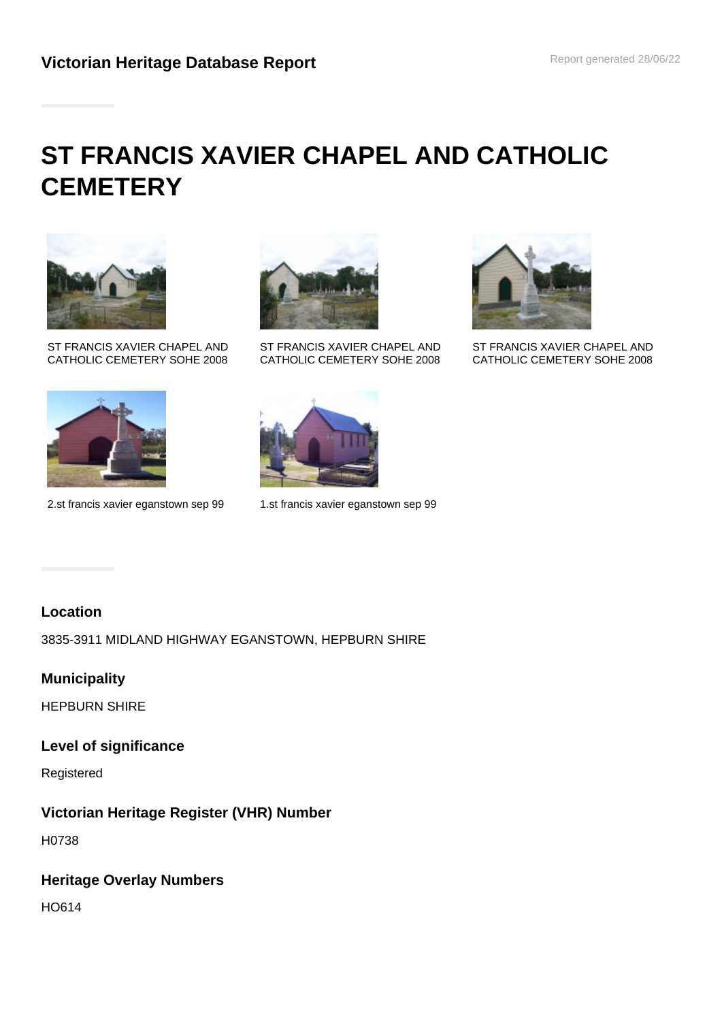# **ST FRANCIS XAVIER CHAPEL AND CATHOLIC CEMETERY**



ST FRANCIS XAVIER CHAPEL AND CATHOLIC CEMETERY SOHE 2008



2.st francis xavier eganstown sep 99 1.st francis xavier eganstown sep 99



ST FRANCIS XAVIER CHAPEL AND CATHOLIC CEMETERY SOHE 2008





ST FRANCIS XAVIER CHAPEL AND CATHOLIC CEMETERY SOHE 2008

# **Location**

3835-3911 MIDLAND HIGHWAY EGANSTOWN, HEPBURN SHIRE

## **Municipality**

HEPBURN SHIRE

## **Level of significance**

Registered

# **Victorian Heritage Register (VHR) Number**

H0738

# **Heritage Overlay Numbers**

HO614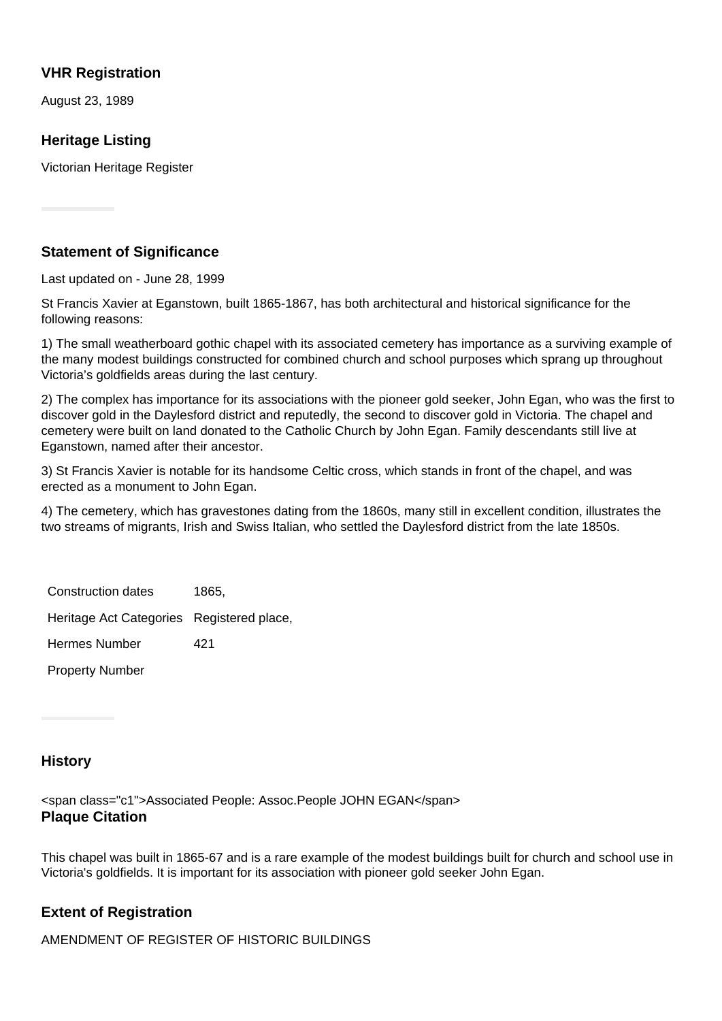## **VHR Registration**

August 23, 1989

# **Heritage Listing**

Victorian Heritage Register

## **Statement of Significance**

Last updated on - June 28, 1999

St Francis Xavier at Eganstown, built 1865-1867, has both architectural and historical significance for the following reasons:

1) The small weatherboard gothic chapel with its associated cemetery has importance as a surviving example of the many modest buildings constructed for combined church and school purposes which sprang up throughout Victoria's goldfields areas during the last century.

2) The complex has importance for its associations with the pioneer gold seeker, John Egan, who was the first to discover gold in the Daylesford district and reputedly, the second to discover gold in Victoria. The chapel and cemetery were built on land donated to the Catholic Church by John Egan. Family descendants still live at Eganstown, named after their ancestor.

3) St Francis Xavier is notable for its handsome Celtic cross, which stands in front of the chapel, and was erected as a monument to John Egan.

4) The cemetery, which has gravestones dating from the 1860s, many still in excellent condition, illustrates the two streams of migrants, Irish and Swiss Italian, who settled the Daylesford district from the late 1850s.

Construction dates 1865, Heritage Act Categories Registered place, Hermes Number 421

Property Number

## **History**

<span class="c1">Associated People: Assoc.People JOHN EGAN</span> **Plaque Citation**

This chapel was built in 1865-67 and is a rare example of the modest buildings built for church and school use in Victoria's goldfields. It is important for its association with pioneer gold seeker John Egan.

## **Extent of Registration**

AMENDMENT OF REGISTER OF HISTORIC BUILDINGS